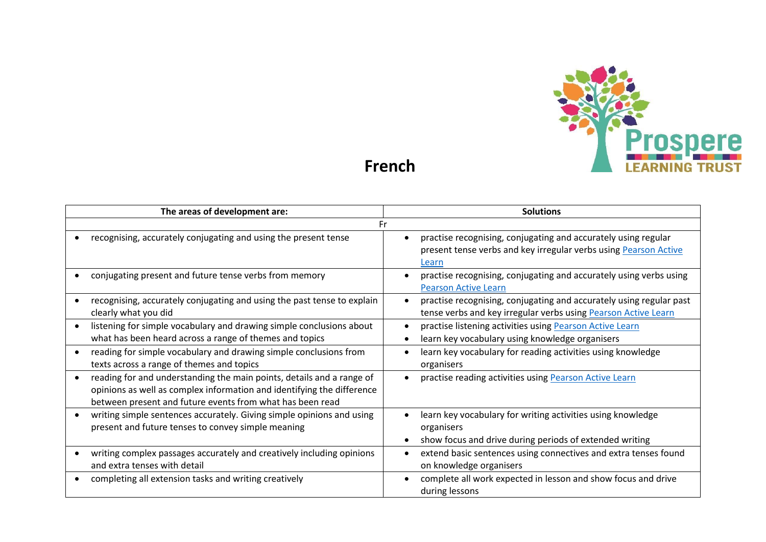

**French**

| The areas of development are: |                                                                                                                                                                                                              | <b>Solutions</b>                                                                                                                            |  |  |  |
|-------------------------------|--------------------------------------------------------------------------------------------------------------------------------------------------------------------------------------------------------------|---------------------------------------------------------------------------------------------------------------------------------------------|--|--|--|
|                               | Fr                                                                                                                                                                                                           |                                                                                                                                             |  |  |  |
|                               | recognising, accurately conjugating and using the present tense                                                                                                                                              | practise recognising, conjugating and accurately using regular<br>present tense verbs and key irregular verbs using Pearson Active<br>Learn |  |  |  |
|                               | conjugating present and future tense verbs from memory                                                                                                                                                       | practise recognising, conjugating and accurately using verbs using<br><b>Pearson Active Learn</b>                                           |  |  |  |
|                               | recognising, accurately conjugating and using the past tense to explain<br>clearly what you did                                                                                                              | practise recognising, conjugating and accurately using regular past<br>tense verbs and key irregular verbs using Pearson Active Learn       |  |  |  |
|                               | listening for simple vocabulary and drawing simple conclusions about<br>what has been heard across a range of themes and topics                                                                              | practise listening activities using Pearson Active Learn<br>learn key vocabulary using knowledge organisers                                 |  |  |  |
|                               | reading for simple vocabulary and drawing simple conclusions from<br>texts across a range of themes and topics                                                                                               | learn key vocabulary for reading activities using knowledge<br>organisers                                                                   |  |  |  |
|                               | reading for and understanding the main points, details and a range of<br>opinions as well as complex information and identifying the difference<br>between present and future events from what has been read | practise reading activities using Pearson Active Learn                                                                                      |  |  |  |
|                               | writing simple sentences accurately. Giving simple opinions and using<br>present and future tenses to convey simple meaning                                                                                  | learn key vocabulary for writing activities using knowledge<br>organisers<br>show focus and drive during periods of extended writing        |  |  |  |
|                               | writing complex passages accurately and creatively including opinions<br>and extra tenses with detail                                                                                                        | extend basic sentences using connectives and extra tenses found<br>on knowledge organisers                                                  |  |  |  |
|                               | completing all extension tasks and writing creatively                                                                                                                                                        | complete all work expected in lesson and show focus and drive<br>during lessons                                                             |  |  |  |